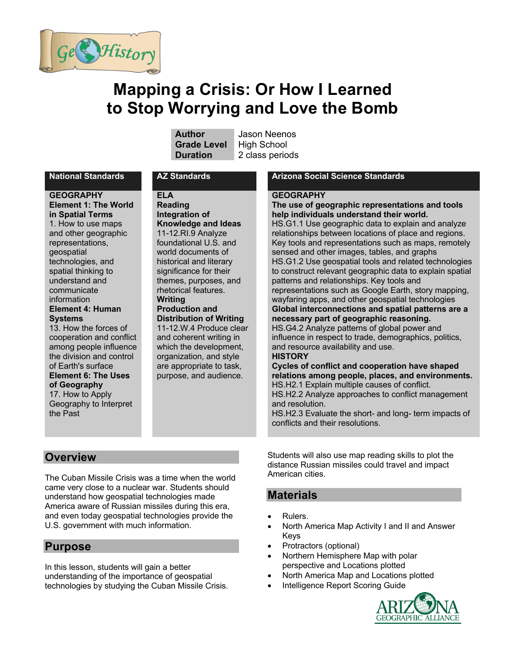

# **Mapping a Crisis: Or How I Learned to Stop Worrying and Love the Bomb**

**Grade Level** High School

**Author** Jason Neenos **Duration** 2 class periods

**GEOGRAPHY Element 1: The World in Spatial Terms**  1. How to use maps and other geographic representations, geospatial technologies, and spatial thinking to understand and communicate information **Element 4: Human Systems**  13. How the forces of

cooperation and conflict among people influence the division and control of Earth's surface **Element 6: The Uses of Geography** 17. How to Apply Geography to Interpret the Past

#### **ELA**

**Reading Integration of Knowledge and Ideas** 11-12.RI.9 Analyze foundational U.S. and world documents of historical and literary significance for their themes, purposes, and rhetorical features. **Writing Production and Distribution of Writing**

11-12.W.4 Produce clear and coherent writing in which the development, organization, and style are appropriate to task, purpose, and audience.

#### **National Standards AZ Standards Arizona Social Science Standards**

#### **GEOGRAPHY**

# **The use of geographic representations and tools help individuals understand their world.**

HS.G1.1 Use geographic data to explain and analyze relationships between locations of place and regions. Key tools and representations such as maps, remotely sensed and other images, tables, and graphs HS.G1.2 Use geospatial tools and related technologies to construct relevant geographic data to explain spatial patterns and relationships. Key tools and representations such as Google Earth, story mapping, wayfaring apps, and other geospatial technologies

#### **Global interconnections and spatial patterns are a necessary part of geographic reasoning.**

HS.G4.2 Analyze patterns of global power and influence in respect to trade, demographics, politics, and resource availability and use.

#### **HISTORY**

**Cycles of conflict and cooperation have shaped relations among people, places, and environments.** HS.H2.1 Explain multiple causes of conflict. HS.H2.2 Analyze approaches to conflict management and resolution.

HS.H2.3 Evaluate the short- and long- term impacts of conflicts and their resolutions.

#### **Overview**

The Cuban Missile Crisis was a time when the world came very close to a nuclear war. Students should understand how geospatial technologies made America aware of Russian missiles during this era, and even today geospatial technologies provide the U.S. government with much information.

# **Purpose**

In this lesson, students will gain a better understanding of the importance of geospatial technologies by studying the Cuban Missile Crisis. Students will also use map reading skills to plot the distance Russian missiles could travel and impact American cities.

# **Materials**

- Rulers.
- North America Map Activity I and II and Answer Keys
- Protractors (optional)
- Northern Hemisphere Map with polar perspective and Locations plotted
- North America Map and Locations plotted
- Intelligence Report Scoring Guide